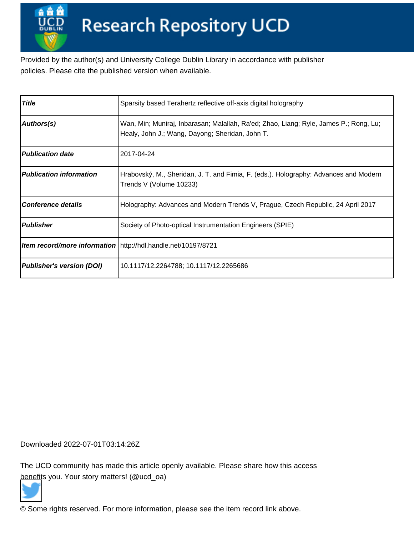Provided by the author(s) and University College Dublin Library in accordance with publisher policies. Please cite the published version when available.

| <b>Title</b>                     | Sparsity based Terahertz reflective off-axis digital holography                                                                          |
|----------------------------------|------------------------------------------------------------------------------------------------------------------------------------------|
| Authors(s)                       | Wan, Min; Muniraj, Inbarasan; Malallah, Ra'ed; Zhao, Liang; Ryle, James P.; Rong, Lu;<br>Healy, John J.; Wang, Dayong; Sheridan, John T. |
| <b>Publication date</b>          | 2017-04-24                                                                                                                               |
| <b>Publication information</b>   | Hrabovský, M., Sheridan, J. T. and Fimia, F. (eds.). Holography: Advances and Modern<br>Trends V (Volume 10233)                          |
| <b>Conference details</b>        | Holography: Advances and Modern Trends V, Prague, Czech Republic, 24 April 2017                                                          |
| <b>Publisher</b>                 | Society of Photo-optical Instrumentation Engineers (SPIE)                                                                                |
|                                  | Item record/more information http://hdl.handle.net/10197/8721                                                                            |
| <b>Publisher's version (DOI)</b> | 10.1117/12.2264788; 10.1117/12.2265686                                                                                                   |

Downloaded 2022-07-01T03:14:26Z

The UCD community has made this article openly available. Please share how this access [benefit](https://twitter.com/intent/tweet?via=ucd_oa&text=DOI%3A10.1117%2F12.2264788&url=http%3A%2F%2Fhdl.handle.net%2F10197%2F8721)s you. Your story matters! (@ucd\_oa)



© Some rights reserved. For more information, please see the item record link above.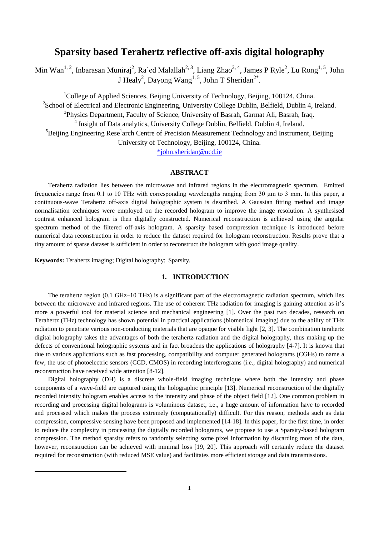# **Sparsity based Terahertz reflective off-axis digital holography**

Min Wan<sup>1, 2</sup>, Inbarasan Muniraj<sup>2</sup>, Ra'ed Malallah<sup>2, 3</sup>, Liang Zhao<sup>2, 4</sup>, James P Ryle<sup>2</sup>, Lu Rong<sup>1, 5</sup>, John J Healy<sup>2</sup>, Dayong Wang<sup>1, 5</sup>, John T Sheridan<sup>2\*</sup>.

<sup>1</sup>College of Applied Sciences, Beijing University of Technology, Beijing, 100124, China. <sup>2</sup>School of Electrical and Electronic Engineering, University College Dublin, Belfield, Dublin 4, Ireland. <sup>3</sup>Physics Department, Faculty of Science, University of Basrah, Garmat Ali, Basrah, Iraq. <sup>4</sup> Insight of Data analytics, University College Dublin, Belfield, Dublin 4, Ireland.  ${}^{5}$ Beijing Engineering Rese<sup>1</sup>arch Centre of Precision Measurement Technology and Instrument, Beijing University of Technology, Beijing, 100124, China.

[\\*john.sheridan@ucd.ie](mailto:*john.sheridan@ucd.ie)

## **ABSTRACT**

Terahertz radiation lies between the microwave and infrared regions in the electromagnetic spectrum. Emitted frequencies range from 0.1 to 10 THz with corresponding wavelengths ranging from 30 μm to 3 mm. In this paper, a continuous-wave Terahertz off-axis digital holographic system is described. A Gaussian fitting method and image normalisation techniques were employed on the recorded hologram to improve the image resolution. A synthesised contrast enhanced hologram is then digitally constructed. Numerical reconstruction is achieved using the angular spectrum method of the filtered off-axis hologram. A sparsity based compression technique is introduced before numerical data reconstruction in order to reduce the dataset required for hologram reconstruction. Results prove that a tiny amount of sparse dataset is sufficient in order to reconstruct the hologram with good image quality.

**Keywords:** Terahertz imaging; Digital holography; Sparsity.

 $\overline{\phantom{a}}$ 

#### **1. INTRODUCTION**

The terahertz region (0.1 GHz–10 THz) is a significant part of the electromagnetic radiation spectrum, which lies between the microwave and infrared regions. The use of coherent THz radiation for imaging is gaining attention as it's more a powerful tool for material science and mechanical engineering [1]. Over the past two decades, research on Terahertz (THz) technology has shown potential in practical applications (biomedical imaging) due to the ability of THz radiation to penetrate various non-conducting materials that are opaque for visible light [2, 3]. The combination terahertz digital holography takes the advantages of both the terahertz radiation and the digital holography, thus making up the defects of conventional holographic systems and in fact broadens the applications of holography [4-7]. It is known that due to various applications such as fast processing, compatibility and computer generated holograms (CGHs) to name a few, the use of photoelectric sensors (CCD, CMOS) in recording interferograms (i.e., digital holography) and numerical reconstruction have received wide attention [8-12].

Digital holography (DH) is a discrete whole-field imaging technique where both the intensity and phase components of a wave-field are captured using the holographic principle [13]. Numerical reconstruction of the digitally recorded intensity hologram enables access to the intensity and phase of the object field [12]. One common problem in recording and processing digital holograms is voluminous dataset, i.e., a huge amount of information have to recorded and processed which makes the process extremely (computationally) difficult. For this reason, methods such as data compression, compressive sensing have been proposed and implemented [14-18]. In this paper, for the first time, in order to reduce the complexity in processing the digitally recorded holograms, we propose to use a Sparsity-based hologram compression. The method sparsity refers to randomly selecting some pixel information by discarding most of the data, however, reconstruction can be achieved with minimal loss [19, 20]. This approach will certainly reduce the dataset required for reconstruction (with reduced MSE value) and facilitates more efficient storage and data transmissions.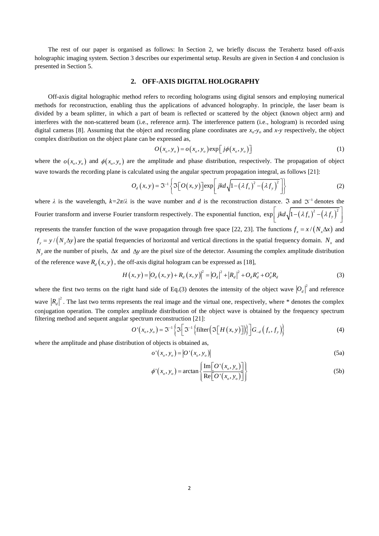The rest of our paper is organised as follows: In Section 2, we briefly discuss the Terahertz based off-axis holographic imaging system. Section 3 describes our experimental setup. Results are given in Section 4 and conclusion is presented in Section 5.

#### **2. OFF-AXIS DIGITAL HOLOGRAPHY**

Off-axis digital holographic method refers to recording holograms using digital sensors and employing numerical methods for reconstruction, enabling thus the applications of advanced holography. In principle, the laser beam is divided by a beam splitter, in which a part of beam is reflected or scattered by the object (known object arm) and interferes with the non-scattered beam (i.e., reference arm). The interference pattern (i.e., hologram) is recorded using digital cameras [8]. Assuming that the object and recording plane coordinates are *xo*-*y<sup>o</sup>* and *x*-*y* respectively, the object complex distribution on the object plane can be expressed as,

$$
O(x_o, y_o) = o(x_o, y_o) \exp[j\phi(x_o, y_o)]
$$
\n(1)

where the  $o(x_o, y_o)$  and  $\phi(x_o, y_o)$  are the amplitude and phase distribution, respectively. The propagation of object

wave towards the recording plane is calculated using the angular spectrum propagation integral, as follows [21]:  

$$
O_d(x, y) = \mathfrak{I}^{-1} \left\{ \mathfrak{I} \left[ O(x, y) \right] \exp \left[ jkd\sqrt{1 - (\lambda f_x)^2 - (\lambda f_y)^2} \right] \right\}
$$
(2)

where  $\lambda$  is the wavelength,  $k=2\pi/\lambda$  is the wave number and d is the reconstruction distance.  $\Im$  and  $\Im^{-1}$  denotes the Fourier transform and inverse Fourier transform respectively. The exponential function,  $\exp\left[ jkd\sqrt{1-(\lambda f_x)^2-(\lambda f_y)^2}\right]$ represents the transfer function of the wave propagation through free space [22, 23]. The functions  $f_x = x/(N_x \Delta x)$  and  $f_y = y / (N_y \Delta y)$  are the spatial frequencies of horizontal and vertical directions in the spatial frequency domain.  $N_x$  and  $N_y$  are the number of pixels,  $\Delta x$  and  $\Delta y$  are the pixel size of the detector. Assuming the complex amplitude distribution of the reference wave  $R_d(x, y)$ , the off-axis digital hologram can be expressed as [18],<br>  $H(x, y) = |O_d(x, y) + R_d(x, y)|^2 = |O_d|^2 + |R_d|^2 + O_d R_d^* + O_d^* R_d$ 

$$
H(x, y) = |O_d(x, y) + R_d(x, y)|^2 = |O_d|^2 + |R_d|^2 + O_d R_d^* + O_d^* R_d
$$
\n(3)

where the first two terms on the right hand side of Eq.(3) denotes the intensity of the object wave  $|O_d|^2$  and reference wave  $|R_a|^2$ . The last two terms represents the real image and the virtual one, respectively, where  $*$  denotes the complex conjugation operation. The complex amplitude distribution of the object wave is obtained by the frequency spectrum

Equation of the object wave is obtained by the frequency spectrum function [21]:

\n
$$
O'(x_o, y_o) = \mathfrak{I}^{-1} \Big\{ \mathfrak{I} \Big[ \mathfrak{I}^{-1} \Big\{ \text{filter} \Big( \mathfrak{I} \Big[ H(x, y) \Big] \Big) \Big\} \Big] G_{-d} \Big( f_x, f_y \Big) \Big\}
$$
\n(4)

where the amplitude and phase distribution of objects is obtained as,

$$
o'(x_o, y_o) = |O'(x_o, y_o)|
$$
\n(5a)

$$
\phi'(x_o, y_o) = \arctan\left\{\frac{\text{Im}[O'(x_o, y_o)]}{\text{Re}[O'(x_o, y_o)]}\right\}
$$
\n(5b)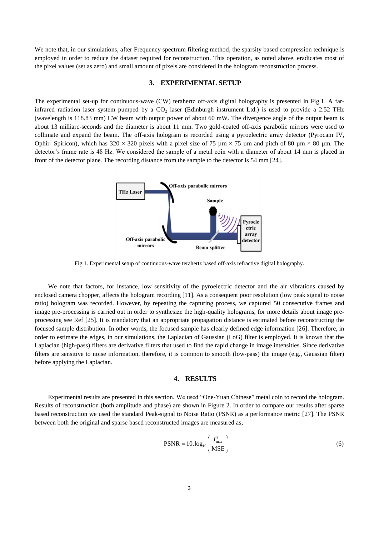We note that, in our simulations, after Frequency spectrum filtering method, the sparsity based compression technique is employed in order to reduce the dataset required for reconstruction. This operation, as noted above, eradicates most of the pixel values (set as zero) and small amount of pixels are considered in the hologram reconstruction process.

## **3. EXPERIMENTAL SETUP**

The experimental set-up for continuous-wave (CW) terahertz off-axis digital holography is presented in Fig.1. A farinfrared radiation laser system pumped by a  $CO<sub>2</sub>$  laser (Edinburgh instrument Ltd.) is used to provide a 2.52 THz (wavelength is 118.83 mm) CW beam with output power of about 60 mW. The divergence angle of the output beam is about 13 milliarc-seconds and the diameter is about 11 mm. Two gold-coated off-axis parabolic mirrors were used to collimate and expand the beam. The off-axis hologram is recorded using a pyroelectric array detector (Pyrocam IV, Ophir- Spiricon), which has  $320 \times 320$  pixels with a pixel size of 75  $\mu$ m  $\times$  75  $\mu$ m and pitch of 80  $\mu$ m  $\times$  80  $\mu$ m. The detector's frame rate is 48 Hz. We considered the sample of a metal coin with a diameter of about 14 mm is placed in front of the detector plane. The recording distance from the sample to the detector is 54 mm [24].



Fig.1. Experimental setup of continuous-wave terahertz based off-axis refractive digital holography.

We note that factors, for instance, low sensitivity of the pyroelectric detector and the air vibrations caused by enclosed camera chopper, affects the hologram recording [11]. As a consequent poor resolution (low peak signal to noise ratio) hologram was recorded. However, by repeating the capturing process, we captured 50 consecutive frames and image pre-processing is carried out in order to synthesize the high-quality holograms, for more details about image preprocessing see Ref [25]. It is mandatory that an appropriate propagation distance is estimated before reconstructing the focused sample distribution. In other words, the focused sample has clearly defined edge information [26]. Therefore, in order to estimate the edges, in our simulations, the Laplacian of Gaussian (LoG) filter is employed. It is known that the Laplacian (high-pass) filters are derivative filters that used to find the rapid change in image intensities. Since derivative filters are sensitive to noise information, therefore, it is common to smooth (low-pass) the image (e.g., Gaussian filter) before applying the Laplacian.

#### **4. RESULTS**

Experimental results are presented in this section. We used "One-Yuan Chinese" metal coin to record the hologram. Results of reconstruction (both amplitude and phase) are shown in Figure 2. In order to compare our results after sparse based reconstruction we used the standard Peak-signal to Noise Ratio (PSNR) as a performance metric [27]. The PSNR between both the original and sparse based reconstructed images are measured as,

$$
PSNR = 10.log_{10}\left(\frac{I_{\text{max}}^2}{MSE}\right)
$$
 (6)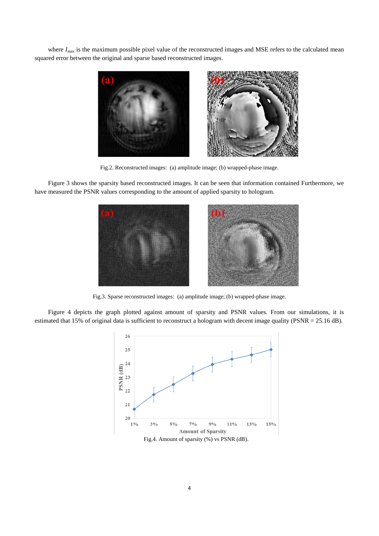where  $I_{\text{max}}$  is the maximum possible pixel value of the reconstructed images and MSE refers to the calculated mean squared error between the original and sparse based reconstructed images.



Fig.2. Reconstructed images: (a) amplitude image; (b) wrapped-phase image.

Figure 3 shows the sparsity based reconstructed images. It can be seen that information contained Furthermore, we have measured the PSNR values corresponding to the amount of applied sparsity to hologram.



Fig.3. Sparse reconstructed images: (a) amplitude image; (b) wrapped-phase image.

Figure 4 depicts the graph plotted against amount of sparsity and PSNR values. From our simulations, it is estimated that 15% of original data is sufficient to reconstruct a hologram with decent image quality (PSNR = 25.16 dB).



Fig.4. Amount of sparsity (%) vs PSNR (dB).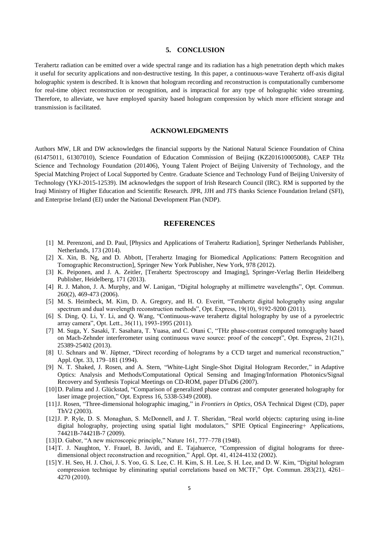#### **5. CONCLUSION**

Terahertz radiation can be emitted over a wide spectral range and its radiation has a high penetration depth which makes it useful for security applications and non-destructive testing. In this paper, a continuous-wave Terahertz off-axis digital holographic system is described. It is known that hologram recording and reconstruction is computationally cumbersome for real-time object reconstruction or recognition, and is impractical for any type of holographic video streaming. Therefore, to alleviate, we have employed sparsity based hologram compression by which more efficient storage and transmission is facilitated.

## **ACKNOWLEDGMENTS**

Authors MW, LR and DW acknowledges the financial supports by the National Natural Science Foundation of China (61475011, 61307010), Science Foundation of Education Commission of Beijing (KZ201610005008), CAEP THz Science and Technology Foundation (201406), Young Talent Project of Beijing University of Technology, and the Special Matching Project of Local Supported by Centre. Graduate Science and Technology Fund of Beijing University of Technology (YKJ-2015-12539). IM acknowledges the support of Irish Research Council (IRC). RM is supported by the Iraqi Ministry of Higher Education and Scientific Research. JPR, JJH and JTS thanks Science Foundation Ireland (SFI), and Enterprise Ireland (EI) under the National Development Plan (NDP).

## **REFERENCES**

- [1] M. Perenzoni, and D. Paul, [Physics and Applications of Terahertz Radiation], Springer Netherlands Publisher, Netherlands, 173 (2014).
- [2] X. Xin, B. Ng, and D. Abbott, [Terahertz Imaging for Biomedical Applications: Pattern Recognition and Tomographic Reconstruction], Springer New York Publisher, New York, 978 (2012).
- [3] K. Peiponen, and J. A. Zeitler, [Terahertz Spectroscopy and Imaging], Springer-Verlag Berlin Heidelberg Publisher, Heidelberg, 171 (2013).
- [4] R. J. Mahon, J. A. Murphy, and W. Lanigan, "Digital holography at millimetre wavelengths", Opt. Commun. 260(2), 469-473 (2006).
- [5] M. S. Heimbeck, M. Kim, D. A. Gregory, and H. O. Everitt, "Terahertz digital holography using angular spectrum and dual wavelength reconstruction methods", Opt. Express, 19(10), 9192-9200 (2011).
- [6] S. Ding, Q. Li, Y. Li, and Q. Wang, "Continuous-wave terahertz digital holography by use of a pyroelectric array camera", Opt. Lett., 36(11), 1993-1995 (2011).
- [7] M. Suga, Y. Sasaki, T. Sasahara, T. Yuasa, and C. Otani C, "THz phase-contrast computed tomography based on Mach-Zehnder interferometer using continuous wave source: proof of the concept", Opt. Express, 21(21), 25389-25402 (2013).
- [8] U. Schnars and W. Jüptner, "Direct recording of holograms by a CCD target and numerical reconstruction," Appl. Opt. 33, 179–181 (1994).
- [9] N. T. Shaked, J. Rosen, and A. Stern, "White-Light Single-Shot Digital Hologram Recorder," in Adaptive Optics: Analysis and Methods/Computational Optical Sensing and Imaging/Information Photonics/Signal Recovery and Synthesis Topical Meetings on CD-ROM, paper DTuD6 (2007).
- [10]D. Palima and J. Glückstad, "Comparison of generalized phase contrast and computer generated holography for laser image projection," Opt. Express 16, 5338-5349 (2008).
- [11]J. Rosen, "Three-dimensional holographic imaging," in *Frontiers in Optics*, OSA Technical Digest (CD), paper ThV2 (2003).
- [12]J. P. Ryle, D. S. Monaghan, S. McDonnell, and J. T. Sheridan, ["Real world objects: capturing using in-line](https://scholar.google.com/citations?view_op=view_citation&hl=en&user=Oa8CBMIAAAAJ&sortby=pubdate&citation_for_view=Oa8CBMIAAAAJ:0EnyYjriUFMC)  [digital holography, projecting using spatial light modulators,](https://scholar.google.com/citations?view_op=view_citation&hl=en&user=Oa8CBMIAAAAJ&sortby=pubdate&citation_for_view=Oa8CBMIAAAAJ:0EnyYjriUFMC)" SPIE Optical Engineering+ Applications, 74421B-74421B-7 (2009).
- [13]D. Gabor, "A new microscopic principle," Nature 161, 777–778 (1948).
- [14]T. J. Naughton, Y. Frauel, B. Javidi, and E. Tajahuerce, "Compression of digital holograms for threedimensional object reconstruction and recognition," Appl. Opt. 41, 4124-4132 (2002).
- [15]Y. H. Seo, H. J. Choi, J. S. Yoo, G. S. Lee, C. H. Kim, S. H. Lee, S. H. Lee, and D. W. Kim, "Digital hologram compression technique by eliminating spatial correlations based on MCTF," Opt. Commun. 283(21), 4261– 4270 (2010).